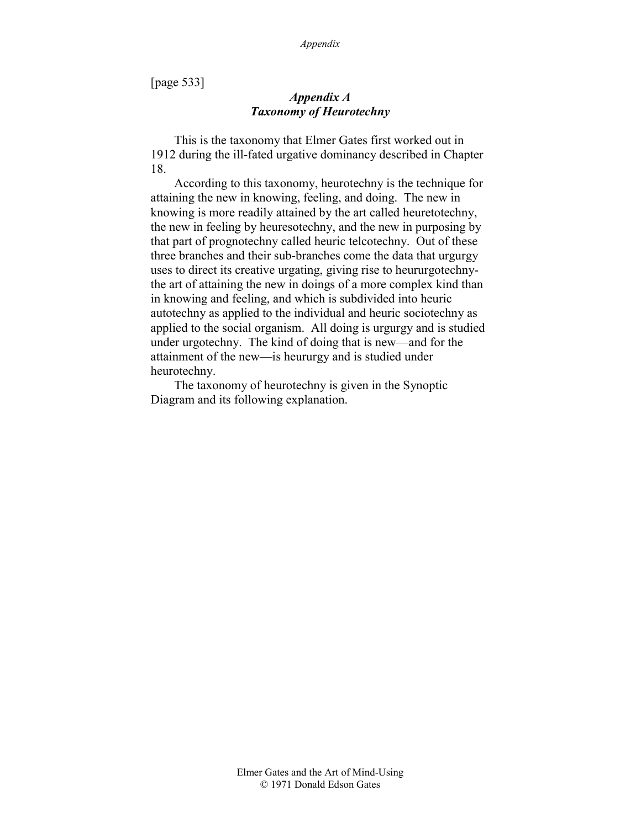[page 533]

# *Appendix A Taxonomy of Heurotechny*

This is the taxonomy that Elmer Gates first worked out in 1912 during the ill-fated urgative dominancy described in Chapter 18.

According to this taxonomy, heurotechny is the technique for attaining the new in knowing, feeling, and doing. The new in knowing is more readily attained by the art called heuretotechny, the new in feeling by heuresotechny, and the new in purposing by that part of prognotechny called heuric telcotechny. Out of these three branches and their sub-branches come the data that urgurgy uses to direct its creative urgating, giving rise to heururgotechnythe art of attaining the new in doings of a more complex kind than in knowing and feeling, and which is subdivided into heuric autotechny as applied to the individual and heuric sociotechny as applied to the social organism. All doing is urgurgy and is studied under urgotechny. The kind of doing that is new—and for the attainment of the new—is heururgy and is studied under heurotechny.

The taxonomy of heurotechny is given in the Synoptic Diagram and its following explanation.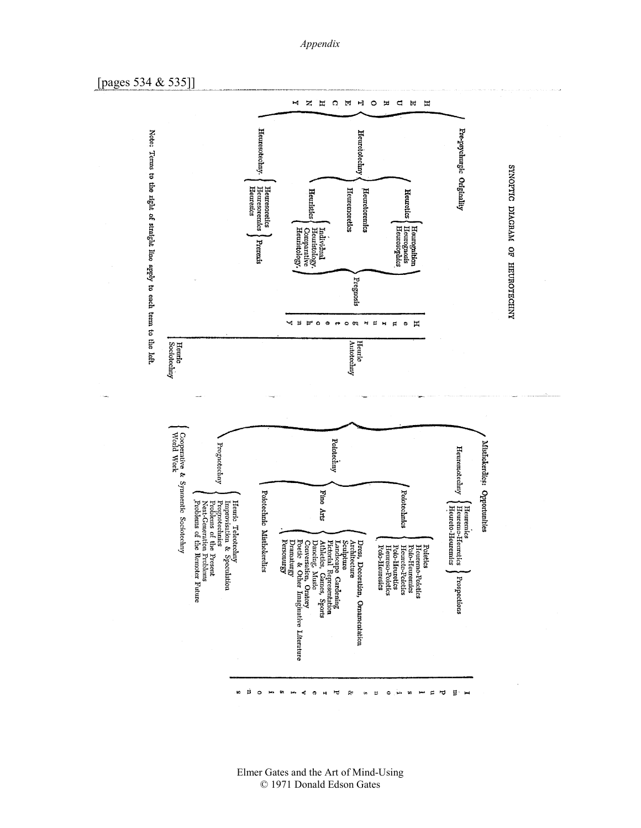#### *Appendix*

[pages 534 & 535]]

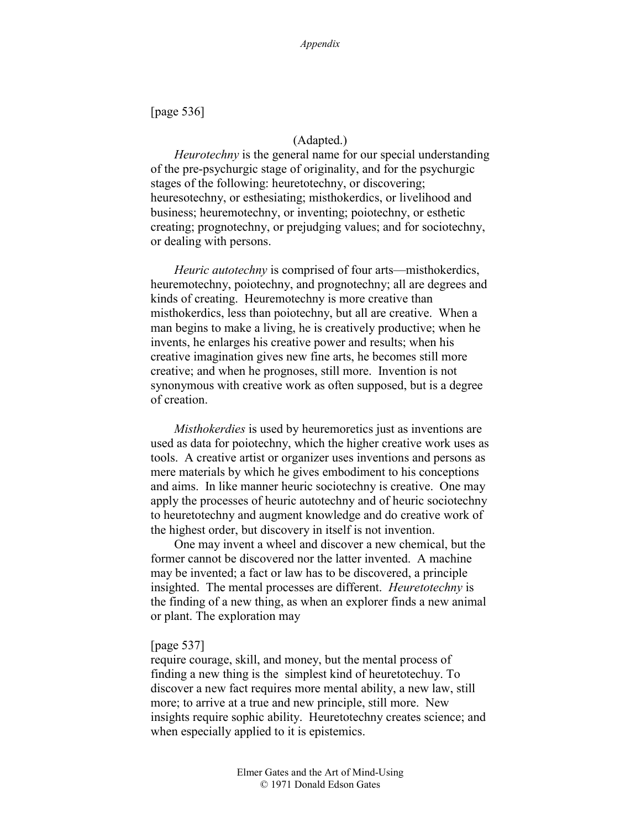[page 536]

### (Adapted.)

*Heurotechny* is the general name for our special understanding of the pre-psychurgic stage of originality, and for the psychurgic stages of the following: heuretotechny, or discovering; heuresotechny, or esthesiating; misthokerdics, or livelihood and business; heuremotechny, or inventing; poiotechny, or esthetic creating; prognotechny, or prejudging values; and for sociotechny, or dealing with persons.

*Heuric autotechny* is comprised of four arts—misthokerdics, heuremotechny, poiotechny, and prognotechny; all are degrees and kinds of creating. Heuremotechny is more creative than misthokerdics, less than poiotechny, but all are creative. When a man begins to make a living, he is creatively productive; when he invents, he enlarges his creative power and results; when his creative imagination gives new fine arts, he becomes still more creative; and when he prognoses, still more. Invention is not synonymous with creative work as often supposed, but is a degree of creation.

*Misthokerdies* is used by heuremoretics just as inventions are used as data for poiotechny, which the higher creative work uses as tools. A creative artist or organizer uses inventions and persons as mere materials by which he gives embodiment to his conceptions and aims. In like manner heuric sociotechny is creative. One may apply the processes of heuric autotechny and of heuric sociotechny to heuretotechny and augment knowledge and do creative work of the highest order, but discovery in itself is not invention.

One may invent a wheel and discover a new chemical, but the former cannot be discovered nor the latter invented. A machine may be invented; a fact or law has to be discovered, a principle insighted. The mental processes are different. *Heuretotechny* is the finding of a new thing, as when an explorer finds a new animal or plant. The exploration may

#### [page 537]

require courage, skill, and money, but the mental process of finding a new thing is the simplest kind of heuretotechuy. To discover a new fact requires more mental ability, a new law, still more; to arrive at a true and new principle, still more. New insights require sophic ability. Heuretotechny creates science; and when especially applied to it is epistemics.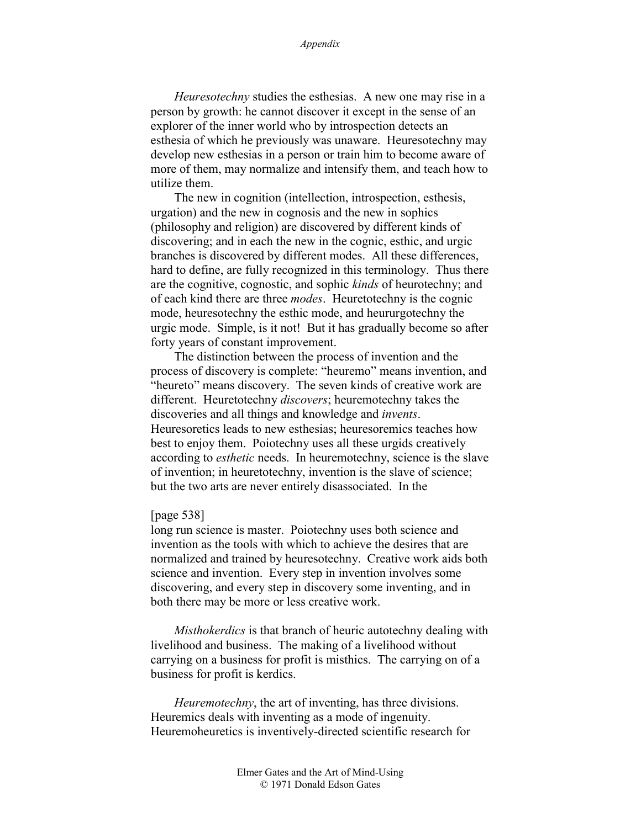*Heuresotechny* studies the esthesias. A new one may rise in a person by growth: he cannot discover it except in the sense of an explorer of the inner world who by introspection detects an esthesia of which he previously was unaware. Heuresotechny may develop new esthesias in a person or train him to become aware of more of them, may normalize and intensify them, and teach how to utilize them.

The new in cognition (intellection, introspection, esthesis, urgation) and the new in cognosis and the new in sophics (philosophy and religion) are discovered by different kinds of discovering; and in each the new in the cognic, esthic, and urgic branches is discovered by different modes. All these differences, hard to define, are fully recognized in this terminology. Thus there are the cognitive, cognostic, and sophic *kinds* of heurotechny; and of each kind there are three *modes*. Heuretotechny is the cognic mode, heuresotechny the esthic mode, and heururgotechny the urgic mode. Simple, is it not! But it has gradually become so after forty years of constant improvement.

The distinction between the process of invention and the process of discovery is complete: "heuremo" means invention, and "heureto" means discovery. The seven kinds of creative work are different. Heuretotechny *discovers*; heuremotechny takes the discoveries and all things and knowledge and *invents*. Heuresoretics leads to new esthesias; heuresoremics teaches how best to enjoy them. Poiotechny uses all these urgids creatively according to *esthetic* needs. In heuremotechny, science is the slave of invention; in heuretotechny, invention is the slave of science; but the two arts are never entirely disassociated. In the

### [page 538]

long run science is master. Poiotechny uses both science and invention as the tools with which to achieve the desires that are normalized and trained by heuresotechny. Creative work aids both science and invention. Every step in invention involves some discovering, and every step in discovery some inventing, and in both there may be more or less creative work.

*Misthokerdics* is that branch of heuric autotechny dealing with livelihood and business. The making of a livelihood without carrying on a business for profit is misthics. The carrying on of a business for profit is kerdics.

*Heuremotechny*, the art of inventing, has three divisions. Heuremics deals with inventing as a mode of ingenuity. Heuremoheuretics is inventively-directed scientific research for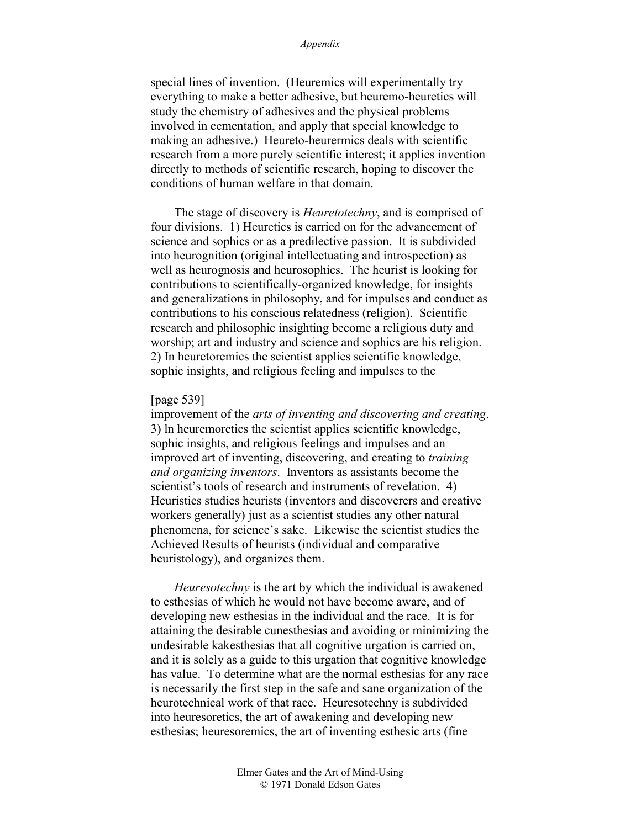special lines of invention. (Heuremics will experimentally try everything to make a better adhesive, but heuremo-heuretics will study the chemistry of adhesives and the physical problems involved in cementation, and apply that special knowledge to making an adhesive.) Heureto-heurermics deals with scientific research from a more purely scientific interest; it applies invention directly to methods of scientific research, hoping to discover the conditions of human welfare in that domain.

The stage of discovery is *Heuretotechny*, and is comprised of four divisions. 1) Heuretics is carried on for the advancement of science and sophics or as a predilective passion. It is subdivided into heurognition (original intellectuating and introspection) as well as heurognosis and heurosophics. The heurist is looking for contributions to scientifically-organized knowledge, for insights and generalizations in philosophy, and for impulses and conduct as contributions to his conscious relatedness (religion). Scientific research and philosophic insighting become a religious duty and worship; art and industry and science and sophics are his religion. 2) In heuretoremics the scientist applies scientific knowledge, sophic insights, and religious feeling and impulses to the

#### [page 539]

improvement of the *arts of inventing and discovering and creating*. 3) ln heuremoretics the scientist applies scientific knowledge, sophic insights, and religious feelings and impulses and an improved art of inventing, discovering, and creating to *training and organizing inventors*. Inventors as assistants become the scientist's tools of research and instruments of revelation. 4) Heuristics studies heurists (inventors and discoverers and creative workers generally) just as a scientist studies any other natural phenomena, for science's sake. Likewise the scientist studies the Achieved Results of heurists (individual and comparative heuristology), and organizes them.

*Heuresotechny* is the art by which the individual is awakened to esthesias of which he would not have become aware, and of developing new esthesias in the individual and the race. It is for attaining the desirable cunesthesias and avoiding or minimizing the undesirable kakesthesias that all cognitive urgation is carried on, and it is solely as a guide to this urgation that cognitive knowledge has value. To determine what are the normal esthesias for any race is necessarily the first step in the safe and sane organization of the heurotechnical work of that race. Heuresotechny is subdivided into heuresoretics, the art of awakening and developing new esthesias; heuresoremics, the art of inventing esthesic arts (fine